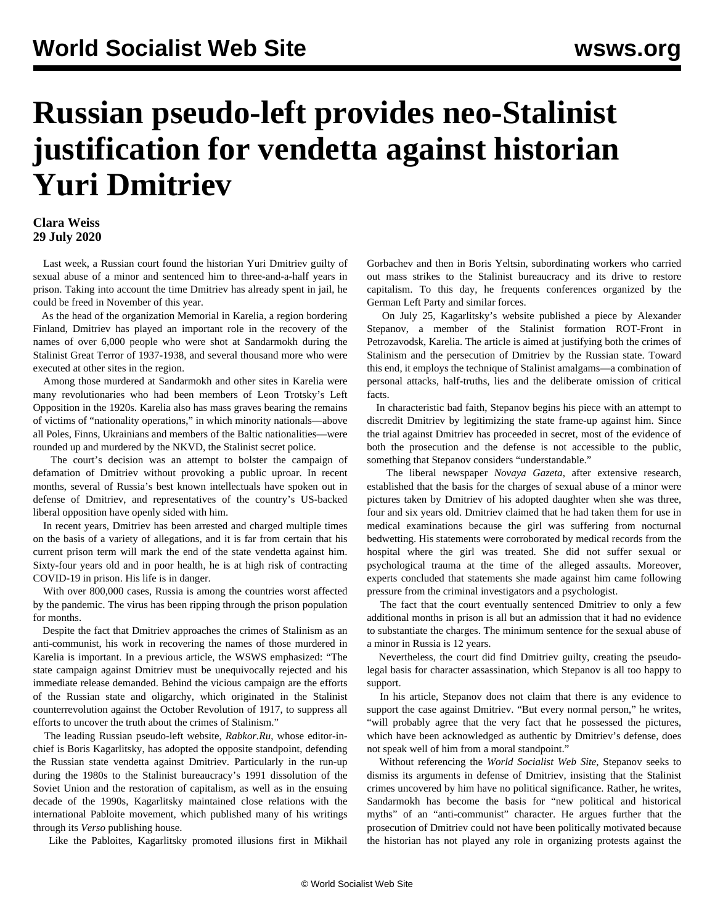## **Russian pseudo-left provides neo-Stalinist justification for vendetta against historian Yuri Dmitriev**

## **Clara Weiss 29 July 2020**

 Last week, a Russian court found the historian Yuri Dmitriev guilty of sexual abuse of a minor and sentenced him to three-and-a-half years in prison. Taking into account the time Dmitriev has already spent in jail, he could be freed in November of this year.

 As the head of the organization Memorial in Karelia, a region bordering Finland, Dmitriev has played an important role in the recovery of the names of over 6,000 people who were shot at Sandarmokh during the Stalinist Great Terror of 1937-1938, and several thousand more who were executed at other sites in the region.

 Among those murdered at Sandarmokh and other sites in Karelia were many revolutionaries who had been members of Leon Trotsky's Left Opposition in the 1920s. Karelia also has mass graves bearing the remains of victims of "nationality operations," in which minority nationals—above all Poles, Finns, Ukrainians and members of the Baltic nationalities—were rounded up and murdered by the NKVD, the Stalinist secret police.

 The court's decision was an attempt to bolster the campaign of defamation of Dmitriev without provoking a public uproar. In recent months, several of Russia's best known intellectuals have spoken out in defense of Dmitriev, and representatives of the country's US-backed liberal opposition have openly sided with him.

 In recent years, Dmitriev has been arrested and charged multiple times on the basis of a variety of allegations, and it is far from certain that his current prison term will mark the end of the state vendetta against him. Sixty-four years old and in poor health, he is at high risk of contracting COVID-19 in prison. His life is in danger.

 With over 800,000 cases, Russia is among the countries worst affected by the pandemic. The virus has been ripping through the prison population for months.

 Despite the fact that Dmitriev approaches the crimes of Stalinism as an anti-communist, his work in recovering the names of those murdered in Karelia is important. In a previous article, the WSWS [emphasized](/en/articles/2020/05/12/russ-m12.html): "The state campaign against Dmitriev must be unequivocally rejected and his immediate release demanded. Behind the vicious campaign are the efforts of the Russian state and oligarchy, which originated in the Stalinist counterrevolution against the October Revolution of 1917, to suppress all efforts to uncover the truth about the crimes of Stalinism."

 The leading Russian pseudo-left website, *Rabkor.Ru*, whose editor-inchief is Boris Kagarlitsky, has adopted the opposite standpoint, defending the Russian state vendetta against Dmitriev. Particularly in the run-up during the 1980s to the Stalinist bureaucracy's 1991 dissolution of the Soviet Union and the restoration of capitalism, as well as in the ensuing decade of the 1990s, Kagarlitsky maintained close relations with the international Pabloite movement, which published many of his writings through its *Verso* publishing house.

Like the Pabloites, Kagarlitsky promoted illusions first in Mikhail

Gorbachev and then in Boris Yeltsin, subordinating workers who carried out mass strikes to the Stalinist bureaucracy and its drive to [restore](/en/articles/2018/05/02/rus2-m02.html) [capitalism](/en/articles/2018/05/02/rus2-m02.html). To this day, he frequents conferences organized by the German Left Party and similar forces.

 On July 25, Kagarlitsky's website published a piece by Alexander Stepanov, a member of the Stalinist formation ROT-Front in Petrozavodsk, Karelia. The article is aimed at justifying both the crimes of Stalinism and the persecution of Dmitriev by the Russian state. Toward this end, it employs the technique of Stalinist amalgams—a combination of personal attacks, half-truths, lies and the deliberate omission of critical facts.

 In characteristic bad faith, Stepanov begins his piece with an attempt to discredit Dmitriev by legitimizing the state frame-up against him. Since the trial against Dmitriev has proceeded in secret, most of the evidence of both the prosecution and the defense is not accessible to the public, something that Stepanov considers "understandable."

 The liberal newspaper *Novaya Gazeta*, after extensive research, established that the basis for the charges of sexual abuse of a minor were pictures taken by Dmitriev of his adopted daughter when she was three, four and six years old. Dmitriev claimed that he had taken them for use in medical examinations because the girl was suffering from nocturnal bedwetting. His statements were corroborated by medical records from the hospital where the girl was treated. She did not suffer sexual or psychological trauma at the time of the alleged assaults. Moreover, experts concluded that statements she made against him came following pressure from the criminal investigators and a psychologist.

 The fact that the court eventually sentenced Dmitriev to only a few additional months in prison is all but an admission that it had no evidence to substantiate the charges. The minimum sentence for the sexual abuse of a minor in Russia is 12 years.

 Nevertheless, the court did find Dmitriev guilty, creating the pseudolegal basis for character assassination, which Stepanov is all too happy to support.

 In his article, Stepanov does not claim that there is any evidence to support the case against Dmitriev. "But every normal person," he writes, "will probably agree that the very fact that he possessed the pictures, which have been acknowledged as authentic by Dmitriev's defense, does not speak well of him from a moral standpoint."

 Without referencing the *World Socialist Web Site*, Stepanov seeks to dismiss its arguments in defense of Dmitriev, insisting that the Stalinist crimes uncovered by him have no political significance. Rather, he writes, Sandarmokh has become the basis for "new political and historical myths" of an "anti-communist" character. He argues further that the prosecution of Dmitriev could not have been politically motivated because the historian has not played any role in organizing protests against the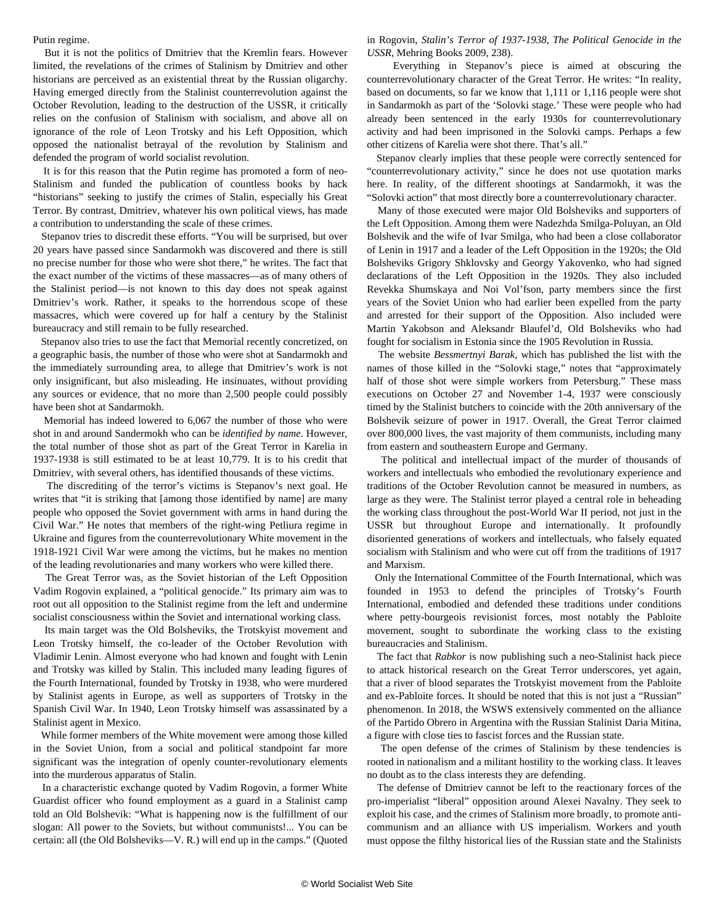Putin regime.

 But it is not the politics of Dmitriev that the Kremlin fears. However limited, the revelations of the crimes of Stalinism by Dmitriev and other historians are perceived as an existential threat by the Russian oligarchy. Having emerged directly from the Stalinist counterrevolution against the October Revolution, leading to the destruction of the USSR, it critically relies on the confusion of Stalinism with socialism, and above all on ignorance of the role of Leon Trotsky and his Left Opposition, which opposed the nationalist betrayal of the revolution by Stalinism and defended the program of world socialist revolution.

 It is for this reason that the Putin regime has promoted a form of neo-Stalinism and funded the publication of countless books by hack "historians" seeking to justify the crimes of Stalin, especially his Great Terror. By contrast, Dmitriev, whatever his own political views, has made a contribution to understanding the scale of these crimes.

 Stepanov tries to discredit these efforts. "You will be surprised, but over 20 years have passed since Sandarmokh was discovered and there is still no precise number for those who were shot there," he writes. The fact that the exact number of the victims of these massacres—as of many others of the Stalinist period—is not known to this day does not speak against Dmitriev's work. Rather, it speaks to the horrendous scope of these massacres, which were covered up for half a century by the Stalinist bureaucracy and still remain to be fully researched.

 Stepanov also tries to use the fact that Memorial recently concretized, on a geographic basis, the number of those who were shot at Sandarmokh and the immediately surrounding area, to allege that Dmitriev's work is not only insignificant, but also misleading. He insinuates, without providing any sources or evidence, that no more than 2,500 people could possibly have been shot at Sandarmokh.

 Memorial has indeed lowered to 6,067 the number of those who were shot in and around Sandermokh who can be *identified by name*. However, the total number of those shot as part of the Great Terror in Karelia in 1937-1938 is still estimated to be at least 10,779. It is to his credit that Dmitriev, with several others, has identified thousands of these victims.

 The discrediting of the terror's victims is Stepanov's next goal. He writes that "it is striking that [among those identified by name] are many people who opposed the Soviet government with arms in hand during the Civil War." He notes that members of the right-wing Petliura regime in Ukraine and figures from the counterrevolutionary White movement in the 1918-1921 Civil War were among the victims, but he makes no mention of the leading revolutionaries and many workers who were killed there.

 The Great Terror was, as the Soviet historian of the Left Opposition Vadim Rogovin [explained,](https://mehring.com/product/stalins-terror-of-1937-1938-political-genocide-in-the-ussr/) a "political genocide." Its primary aim was to root out all opposition to the Stalinist regime from the left and undermine socialist consciousness within the Soviet and international working class.

 Its main target was the Old Bolsheviks, the Trotskyist movement and Leon Trotsky himself, the co-leader of the October Revolution with Vladimir Lenin. Almost everyone who had known and fought with Lenin and Trotsky was killed by Stalin. This included many leading figures of the Fourth International, founded by Trotsky in 1938, who were murdered by Stalinist agents in Europe, as well as supporters of Trotsky in the Spanish Civil War. In 1940, Leon Trotsky himself was assassinated by a Stalinist agent in Mexico.

 While former members of the White movement were among those killed in the Soviet Union, from a social and political standpoint far more significant was the integration of openly counter-revolutionary elements into the murderous apparatus of Stalin.

 In a characteristic exchange quoted by Vadim Rogovin, a former White Guardist officer who found employment as a guard in a Stalinist camp told an Old Bolshevik: "What is happening now is the fulfillment of our slogan: All power to the Soviets, but without communists!... You can be certain: all (the Old Bolsheviks—V. R.) will end up in the camps." (Quoted in Rogovin, *Stalin's Terror of 1937-1938, The Political Genocide in the USSR*, Mehring Books 2009, 238).

 Everything in Stepanov's piece is aimed at obscuring the counterrevolutionary character of the Great Terror. He writes: "In reality, based on documents, so far we know that 1,111 or 1,116 people were shot in Sandarmokh as part of the 'Solovki stage.' These were people who had already been sentenced in the early 1930s for counterrevolutionary activity and had been imprisoned in the Solovki camps. Perhaps a few other citizens of Karelia were shot there. That's all."

 Stepanov clearly implies that these people were correctly sentenced for "counterrevolutionary activity," since he does not use quotation marks here. In reality, of the different shootings at Sandarmokh, it was the "Solovki action" that most directly bore a counterrevolutionary character.

 Many of those executed were major Old Bolsheviks and supporters of the Left Opposition. Among them were [Nadezhda Smilga-Poluyan,](/en/articles/2014/10/27/smil-o27.html) an Old Bolshevik and the wife of [Ivar Smilga](/en/articles/2017/08/31/smi1-a31.html), who had been a close collaborator of Lenin in 1917 and a leader of the Left Opposition in the 1920s; the Old Bolsheviks Grigory Shklovsky and Georgy Yakovenko, who had signed declarations of the Left Opposition in the 1920s. They also included Revekka Shumskaya and Noi Vol'fson, party members since the first years of the Soviet Union who had earlier been expelled from the party and arrested for their support of the Opposition. Also included were Martin Yakobson and Aleksandr Blaufel'd, Old Bolsheviks who had fought for socialism in Estonia since the 1905 Revolution in Russia.

 The website *Bessmertnyi Barak*, which has published the list with the names of those killed in the "Solovki stage," notes that "approximately half of those shot were simple workers from Petersburg." These mass executions on October 27 and November 1-4, 1937 were consciously timed by the Stalinist butchers to coincide with the 20th anniversary of the Bolshevik seizure of power in 1917. Overall, the Great Terror claimed over 800,000 lives, the vast majority of them communists, including many from eastern and southeastern Europe and Germany.

 The political and intellectual impact of the murder of thousands of workers and intellectuals who embodied the revolutionary experience and traditions of the October Revolution cannot be measured in numbers, as large as they were. The Stalinist terror played a central role in beheading the working class throughout the post-World War II period, not just in the USSR but throughout Europe and internationally. It profoundly disoriented generations of workers and intellectuals, who falsely equated socialism with Stalinism and who were cut off from the traditions of 1917 and Marxism.

 Only the International Committee of the Fourth International, which was founded in 1953 to defend the principles of Trotsky's Fourth International, embodied and defended these traditions under conditions where petty-bourgeois revisionist forces, most notably the Pabloite movement, sought to subordinate the working class to the existing bureaucracies and Stalinism.

 The fact that *Rabkor* is now publishing such a neo-Stalinist hack piece to attack historical research on the Great Terror underscores, yet again, that a river of blood separates the Trotskyist movement from the Pabloite and ex-Pabloite forces. It should be noted that this is not just a "Russian" phenomenon. In 2018, the WSWS extensively commented on the alliance of the Partido Obrero in Argentina with the Russian Stalinist Daria Mitina, a figure with close ties to [fascist forces](/en/articles/2018/06/19/crfi-j19.html) and the Russian state.

 The open defense of the crimes of Stalinism by these tendencies is rooted in nationalism and a militant hostility to the working class. It leaves no doubt as to the class interests they are defending.

 The defense of Dmitriev cannot be left to the reactionary forces of the pro-imperialist "liberal" opposition around Alexei Navalny. They seek to exploit his case, and the crimes of Stalinism more broadly, to promote anticommunism and an alliance with US imperialism. Workers and youth must oppose the filthy historical lies of the Russian state and the Stalinists